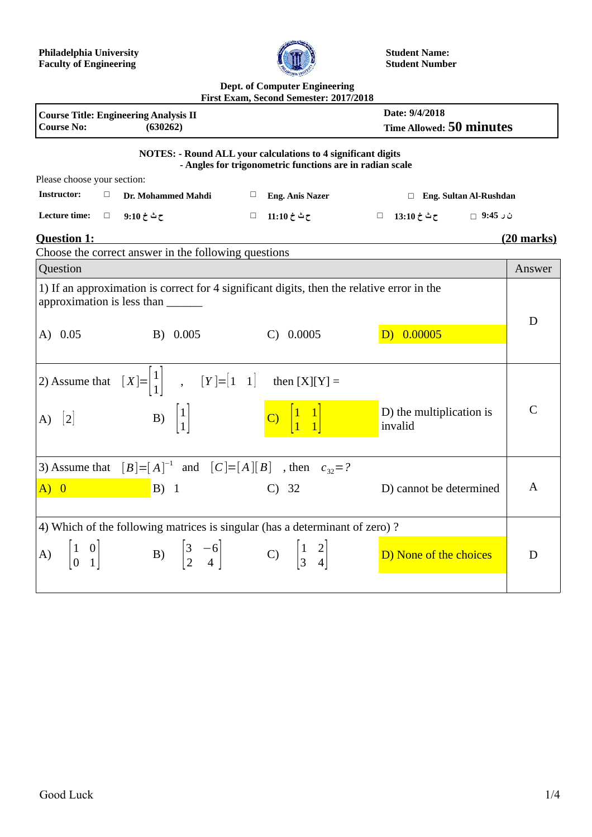

**Student Name: Student Number**

## **Dept. of Computer Engineering**

| First Exam, Second Semester: 2017/2018                                                                                                                                           |                                 |  |  |  |  |  |
|----------------------------------------------------------------------------------------------------------------------------------------------------------------------------------|---------------------------------|--|--|--|--|--|
| Date: 9/4/2018<br><b>Course Title: Engineering Analysis II</b>                                                                                                                   |                                 |  |  |  |  |  |
| <b>Course No:</b><br>(630262)                                                                                                                                                    | <b>Time Allowed: 50 minutes</b> |  |  |  |  |  |
| <b>NOTES: - Round ALL your calculations to 4 significant digits</b><br>- Angles for trigonometric functions are in radian scale                                                  |                                 |  |  |  |  |  |
| Please choose your section:                                                                                                                                                      |                                 |  |  |  |  |  |
| <b>Instructor:</b><br>$\Box$<br>Dr. Mohammed Mahdi<br><b>Eng. Anis Nazer</b><br>$\Box$                                                                                           | □ Eng. Sultan Al-Rushdan        |  |  |  |  |  |
| Lecture time:<br>$\Box$<br>ح ٹ خ 9:10<br>ح ث خ 11:10 ⊥⊡<br>$\Box$ 13:10 $\div$ ح ث خ 13:10 $\Box$                                                                                |                                 |  |  |  |  |  |
| <b>Question 1:</b>                                                                                                                                                               | <u>(20 marks)</u>               |  |  |  |  |  |
| Choose the correct answer in the following questions                                                                                                                             |                                 |  |  |  |  |  |
| Question                                                                                                                                                                         | Answer                          |  |  |  |  |  |
| 1) If an approximation is correct for 4 significant digits, then the relative error in the<br>approximation is less than _______                                                 | D                               |  |  |  |  |  |
| D) 0.00005<br>B) 0.005<br>$C)$ 0.0005<br>$(A)$ 0.05                                                                                                                              |                                 |  |  |  |  |  |
| 2) Assume that $[X]=\begin{vmatrix}1\\1\end{vmatrix}$ , $[Y]=[1\ 1]$ then $[X][Y]=$                                                                                              |                                 |  |  |  |  |  |
| D) the multiplication is<br>C) $\begin{vmatrix} 1 & 1 \\ 1 & 1 \end{vmatrix}$<br>B) $\begin{vmatrix} 1 \\ 1 \end{vmatrix}$<br>A) $\begin{bmatrix} 2 \end{bmatrix}$<br>invalid    | $\mathsf{C}$                    |  |  |  |  |  |
| 3) Assume that $[B]=[A]^{-1}$ and $[C]=[A][B]$ , then $c_{32}=?$                                                                                                                 |                                 |  |  |  |  |  |
| A) 0<br>$B)$ 1<br>$C)$ 32<br>D) cannot be determined                                                                                                                             | A                               |  |  |  |  |  |
| 4) Which of the following matrices is singular (has a determinant of zero)?                                                                                                      |                                 |  |  |  |  |  |
| A) $\begin{bmatrix} 1 & 0 \\ 0 & 1 \end{bmatrix}$ B) $\begin{bmatrix} 3 & -6 \\ 2 & 4 \end{bmatrix}$ C) $\begin{bmatrix} 1 & 2 \\ 3 & 4 \end{bmatrix}$<br>D) None of the choices | D                               |  |  |  |  |  |
|                                                                                                                                                                                  |                                 |  |  |  |  |  |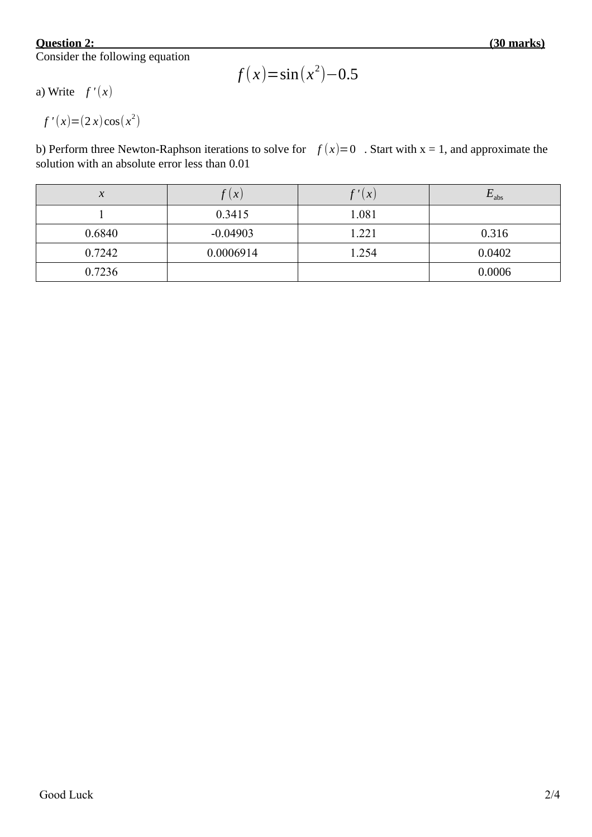## **Question 2:**

Consider the following equation

$$
f(x) = \sin(x^2) - 0.5
$$

a) Write  $f'(x)$ 

$$
f'(x) = (2x)\cos(x^2)
$$

b) Perform three Newton-Raphson iterations to solve for  $f(x)=0$ . Start with  $x = 1$ , and approximate the solution with an absolute error less than 0.01

| $\mathbf{v}$<br>$\Lambda$ | (X)        | $\left\vert \mathbf{x}\right\vert$ | $E_{\rm abs}$ |
|---------------------------|------------|------------------------------------|---------------|
|                           | 0.3415     | 1.081                              |               |
| 0.6840                    | $-0.04903$ | 1.221                              | 0.316         |
| 0.7242                    | 0.0006914  | 1.254                              | 0.0402        |
| 0.7236                    |            |                                    | 0.0006        |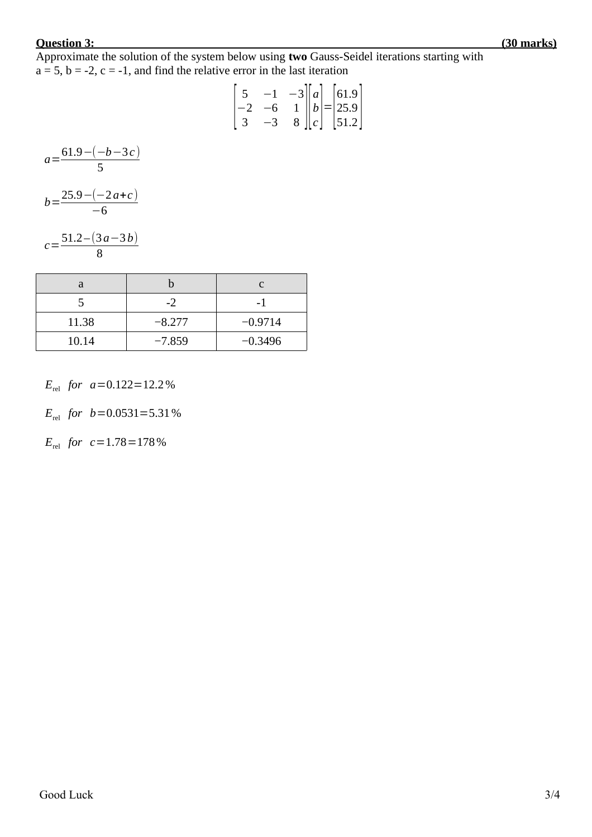## **Question 3: (30 marks)**

Approximate the solution of the system below using **two** Gauss-Seidel iterations starting with  $a = 5$ ,  $b = -2$ ,  $c = -1$ , and find the relative error in the last iteration

$$
\begin{bmatrix} 5 & -1 & -3 \ -2 & -6 & 1 \ 3 & -3 & 8 \ \end{bmatrix} \begin{bmatrix} a \\ b \\ c \end{bmatrix} = \begin{bmatrix} 61.9 \\ 25.9 \\ 51.2 \end{bmatrix}
$$

$$
a = \frac{61.9 - (-b - 3c)}{5}
$$

$$
b = \frac{25.9 - (-2a + c)}{-6}
$$

$$
c = \frac{51.2 - (3a - 3b)}{8}
$$

| a     |          |           |
|-------|----------|-----------|
|       | -2       |           |
| 11.38 | $-8.277$ | $-0.9714$ |
| 10.14 | $-7.859$ | $-0.3496$ |

*E*<sub>rel</sub> *for*  $a=0.122=12.2\%$ 

 $E_{rel}$  *for*  $b=0.0531=5.31\%$ 

*E*<sub>rel</sub> *for*  $c=1.78=178\%$